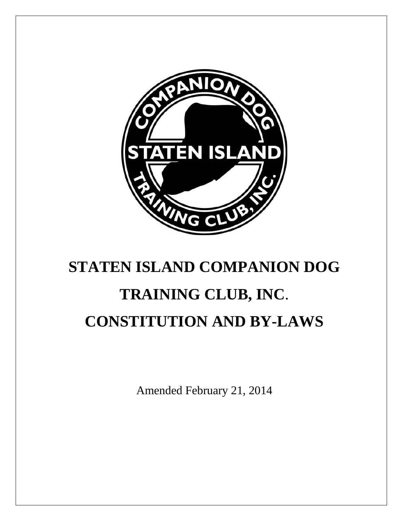

# **STATEN ISLAND COMPANION DOG TRAINING CLUB, INC**. **CONSTITUTION AND BY-LAWS**

Amended February 21, 2014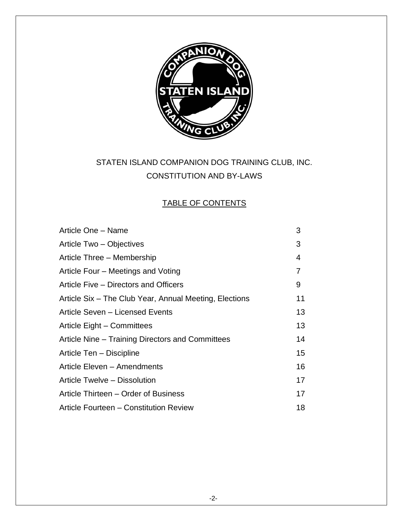

# STATEN ISLAND COMPANION DOG TRAINING CLUB, INC. CONSTITUTION AND BY-LAWS

# TABLE OF CONTENTS

| Article One - Name                                     | 3              |
|--------------------------------------------------------|----------------|
| Article Two – Objectives                               | 3              |
| Article Three - Membership                             | $\overline{4}$ |
| Article Four – Meetings and Voting                     | 7              |
| Article Five – Directors and Officers                  | 9              |
| Article Six – The Club Year, Annual Meeting, Elections | 11             |
| Article Seven - Licensed Events                        | 13             |
| Article Eight – Committees                             | 13             |
| Article Nine - Training Directors and Committees       | 14             |
| Article Ten - Discipline                               | 15             |
| Article Eleven - Amendments                            | 16             |
| Article Twelve - Dissolution                           | 17             |
| Article Thirteen – Order of Business                   | 17             |
| Article Fourteen - Constitution Review                 | 18             |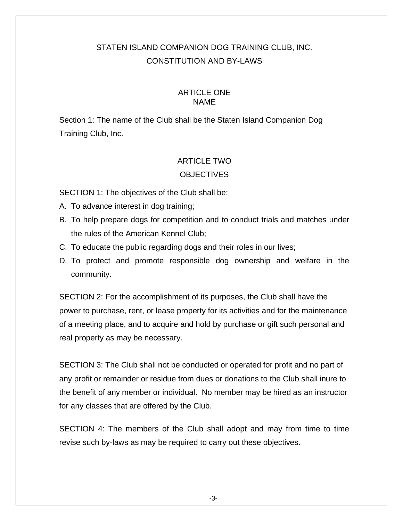# STATEN ISLAND COMPANION DOG TRAINING CLUB, INC. CONSTITUTION AND BY-LAWS

## **ARTICLE ONE** NAME

Section 1: The name of the Club shall be the Staten Island Companion Dog Training Club, Inc.

# ARTICLE TWO **OBJECTIVES**

SECTION 1: The objectives of the Club shall be:

- A. To advance interest in dog training;
- B. To help prepare dogs for competition and to conduct trials and matches under the rules of the American Kennel Club;
- C. To educate the public regarding dogs and their roles in our lives;
- D. To protect and promote responsible dog ownership and welfare in the community.

SECTION 2: For the accomplishment of its purposes, the Club shall have the power to purchase, rent, or lease property for its activities and for the maintenance of a meeting place, and to acquire and hold by purchase or gift such personal and real property as may be necessary.

SECTION 3: The Club shall not be conducted or operated for profit and no part of any profit or remainder or residue from dues or donations to the Club shall inure to the benefit of any member or individual. No member may be hired as an instructor for any classes that are offered by the Club.

SECTION 4: The members of the Club shall adopt and may from time to time revise such by-laws as may be required to carry out these objectives.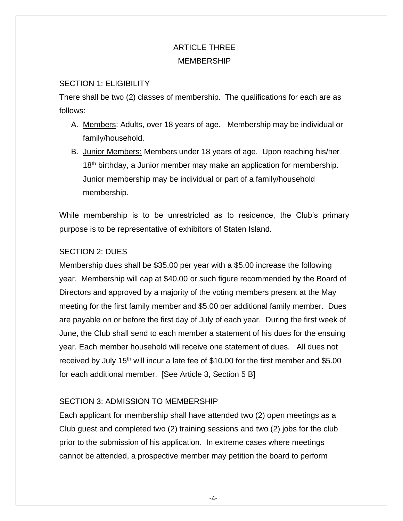# ARTICLE THREE MEMBERSHIP

# SECTION 1: ELIGIBILITY

There shall be two (2) classes of membership. The qualifications for each are as follows:

- A. Members: Adults, over 18 years of age. Membership may be individual or family/household.
- B. Junior Members: Members under 18 years of age. Upon reaching his/her 18<sup>th</sup> birthday, a Junior member may make an application for membership. Junior membership may be individual or part of a family/household membership.

While membership is to be unrestricted as to residence, the Club's primary purpose is to be representative of exhibitors of Staten Island.

# SECTION 2: DUES

Membership dues shall be \$35.00 per year with a \$5.00 increase the following year. Membership will cap at \$40.00 or such figure recommended by the Board of Directors and approved by a majority of the voting members present at the May meeting for the first family member and \$5.00 per additional family member. Dues are payable on or before the first day of July of each year. During the first week of June, the Club shall send to each member a statement of his dues for the ensuing year. Each member household will receive one statement of dues. All dues not received by July 15<sup>th</sup> will incur a late fee of \$10.00 for the first member and \$5.00 for each additional member. [See Article 3, Section 5 B]

## SECTION 3: ADMISSION TO MEMBERSHIP

Each applicant for membership shall have attended two (2) open meetings as a Club guest and completed two (2) training sessions and two (2) jobs for the club prior to the submission of his application. In extreme cases where meetings cannot be attended, a prospective member may petition the board to perform

-4-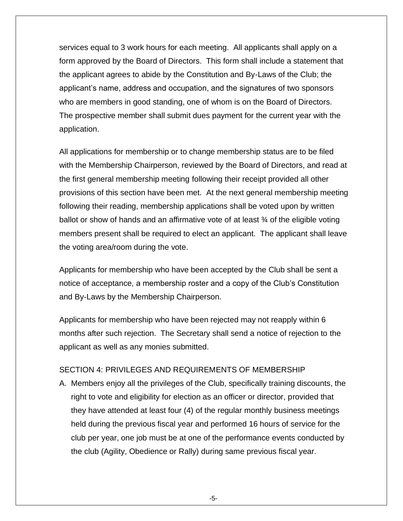services equal to 3 work hours for each meeting. All applicants shall apply on a form approved by the Board of Directors. This form shall include a statement that the applicant agrees to abide by the Constitution and By-Laws of the Club; the applicant's name, address and occupation, and the signatures of two sponsors who are members in good standing, one of whom is on the Board of Directors. The prospective member shall submit dues payment for the current year with the application.

All applications for membership or to change membership status are to be filed with the Membership Chairperson, reviewed by the Board of Directors, and read at the first general membership meeting following their receipt provided all other provisions of this section have been met. At the next general membership meeting following their reading, membership applications shall be voted upon by written ballot or show of hands and an affirmative vote of at least ¾ of the eligible voting members present shall be required to elect an applicant. The applicant shall leave the voting area/room during the vote.

Applicants for membership who have been accepted by the Club shall be sent a notice of acceptance, a membership roster and a copy of the Club's Constitution and By-Laws by the Membership Chairperson.

Applicants for membership who have been rejected may not reapply within 6 months after such rejection. The Secretary shall send a notice of rejection to the applicant as well as any monies submitted.

## SECTION 4: PRIVILEGES AND REQUIREMENTS OF MEMBERSHIP

A. Members enjoy all the privileges of the Club, specifically training discounts, the right to vote and eligibility for election as an officer or director, provided that they have attended at least four (4) of the regular monthly business meetings held during the previous fiscal year and performed 16 hours of service for the club per year, one job must be at one of the performance events conducted by the club (Agility, Obedience or Rally) during same previous fiscal year.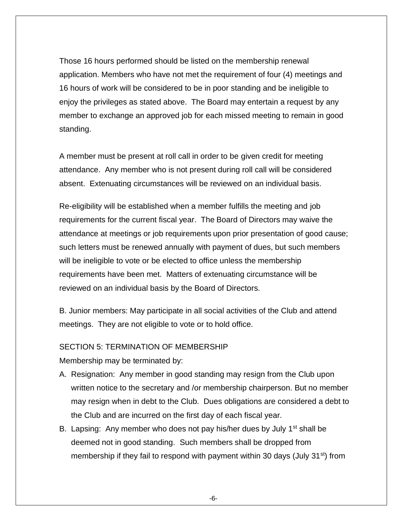Those 16 hours performed should be listed on the membership renewal application. Members who have not met the requirement of four (4) meetings and 16 hours of work will be considered to be in poor standing and be ineligible to enjoy the privileges as stated above. The Board may entertain a request by any member to exchange an approved job for each missed meeting to remain in good standing.

A member must be present at roll call in order to be given credit for meeting attendance. Any member who is not present during roll call will be considered absent. Extenuating circumstances will be reviewed on an individual basis.

Re-eligibility will be established when a member fulfills the meeting and job requirements for the current fiscal year. The Board of Directors may waive the attendance at meetings or job requirements upon prior presentation of good cause; such letters must be renewed annually with payment of dues, but such members will be ineligible to vote or be elected to office unless the membership requirements have been met. Matters of extenuating circumstance will be reviewed on an individual basis by the Board of Directors.

B. Junior members: May participate in all social activities of the Club and attend meetings. They are not eligible to vote or to hold office.

#### SECTION 5: TERMINATION OF MEMBERSHIP

Membership may be terminated by:

- A. Resignation: Any member in good standing may resign from the Club upon written notice to the secretary and /or membership chairperson. But no member may resign when in debt to the Club. Dues obligations are considered a debt to the Club and are incurred on the first day of each fiscal year.
- B. Lapsing: Any member who does not pay his/her dues by July 1<sup>st</sup> shall be deemed not in good standing. Such members shall be dropped from membership if they fail to respond with payment within 30 days (July 31<sup>st</sup>) from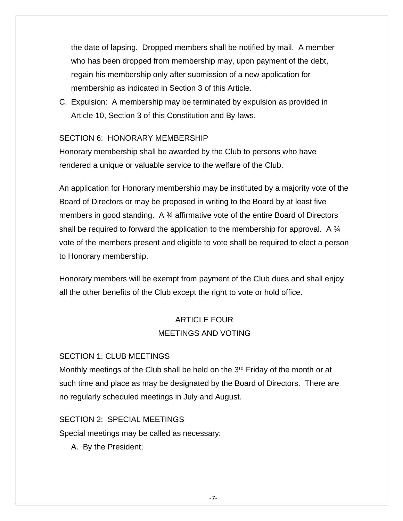the date of lapsing. Dropped members shall be notified by mail. A member who has been dropped from membership may, upon payment of the debt, regain his membership only after submission of a new application for membership as indicated in Section 3 of this Article.

C. Expulsion: A membership may be terminated by expulsion as provided in Article 10, Section 3 of this Constitution and By-laws.

# SECTION 6: HONORARY MEMBERSHIP

Honorary membership shall be awarded by the Club to persons who have rendered a unique or valuable service to the welfare of the Club.

An application for Honorary membership may be instituted by a majority vote of the Board of Directors or may be proposed in writing to the Board by at least five members in good standing. A ¾ affirmative vote of the entire Board of Directors shall be required to forward the application to the membership for approval. A  $\frac{3}{4}$ vote of the members present and eligible to vote shall be required to elect a person to Honorary membership.

Honorary members will be exempt from payment of the Club dues and shall enjoy all the other benefits of the Club except the right to vote or hold office.

# ARTICLE FOUR MEETINGS AND VOTING

## SECTION 1: CLUB MEETINGS

Monthly meetings of the Club shall be held on the 3<sup>rd</sup> Friday of the month or at such time and place as may be designated by the Board of Directors. There are no regularly scheduled meetings in July and August.

## SECTION 2: SPECIAL MEETINGS

Special meetings may be called as necessary:

A. By the President;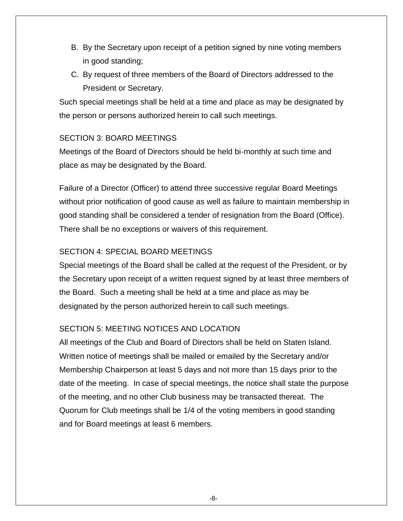- B. By the Secretary upon receipt of a petition signed by nine voting members in good standing;
- C. By request of three members of the Board of Directors addressed to the President or Secretary.

Such special meetings shall be held at a time and place as may be designated by the person or persons authorized herein to call such meetings.

# SECTION 3: BOARD MEETINGS

Meetings of the Board of Directors should be held bi-monthly at such time and place as may be designated by the Board.

Failure of a Director (Officer) to attend three successive regular Board Meetings without prior notification of good cause as well as failure to maintain membership in good standing shall be considered a tender of resignation from the Board (Office). There shall be no exceptions or waivers of this requirement.

# SECTION 4: SPECIAL BOARD MEETINGS

Special meetings of the Board shall be called at the request of the President, or by the Secretary upon receipt of a written request signed by at least three members of the Board. Such a meeting shall be held at a time and place as may be designated by the person authorized herein to call such meetings.

# SECTION 5: MEETING NOTICES AND LOCATION

All meetings of the Club and Board of Directors shall be held on Staten Island. Written notice of meetings shall be mailed or emailed by the Secretary and/or Membership Chairperson at least 5 days and not more than 15 days prior to the date of the meeting. In case of special meetings, the notice shall state the purpose of the meeting, and no other Club business may be transacted thereat. The Quorum for Club meetings shall be 1/4 of the voting members in good standing and for Board meetings at least 6 members.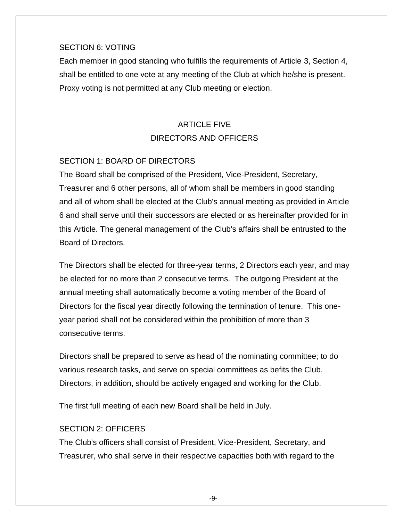## SECTION 6: VOTING

Each member in good standing who fulfills the requirements of Article 3, Section 4, shall be entitled to one vote at any meeting of the Club at which he/she is present. Proxy voting is not permitted at any Club meeting or election.

# ARTICLE FIVE DIRECTORS AND OFFICERS

# SECTION 1: BOARD OF DIRECTORS

The Board shall be comprised of the President, Vice-President, Secretary, Treasurer and 6 other persons, all of whom shall be members in good standing and all of whom shall be elected at the Club's annual meeting as provided in Article 6 and shall serve until their successors are elected or as hereinafter provided for in this Article. The general management of the Club's affairs shall be entrusted to the Board of Directors.

The Directors shall be elected for three-year terms, 2 Directors each year, and may be elected for no more than 2 consecutive terms. The outgoing President at the annual meeting shall automatically become a voting member of the Board of Directors for the fiscal year directly following the termination of tenure. This oneyear period shall not be considered within the prohibition of more than 3 consecutive terms.

Directors shall be prepared to serve as head of the nominating committee; to do various research tasks, and serve on special committees as befits the Club. Directors, in addition, should be actively engaged and working for the Club.

The first full meeting of each new Board shall be held in July.

## SECTION 2: OFFICERS

The Club's officers shall consist of President, Vice-President, Secretary, and Treasurer, who shall serve in their respective capacities both with regard to the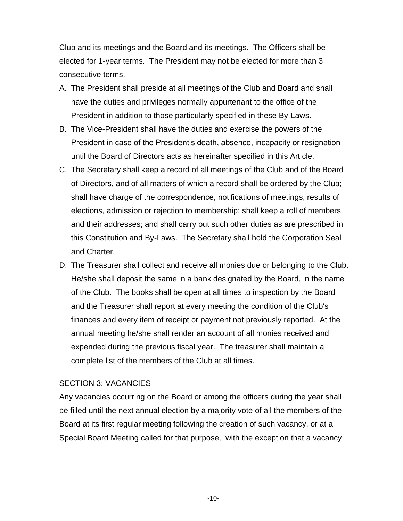Club and its meetings and the Board and its meetings. The Officers shall be elected for 1-year terms. The President may not be elected for more than 3 consecutive terms.

- A. The President shall preside at all meetings of the Club and Board and shall have the duties and privileges normally appurtenant to the office of the President in addition to those particularly specified in these By-Laws.
- B. The Vice-President shall have the duties and exercise the powers of the President in case of the President's death, absence, incapacity or resignation until the Board of Directors acts as hereinafter specified in this Article.
- C. The Secretary shall keep a record of all meetings of the Club and of the Board of Directors, and of all matters of which a record shall be ordered by the Club; shall have charge of the correspondence, notifications of meetings, results of elections, admission or rejection to membership; shall keep a roll of members and their addresses; and shall carry out such other duties as are prescribed in this Constitution and By-Laws. The Secretary shall hold the Corporation Seal and Charter.
- D. The Treasurer shall collect and receive all monies due or belonging to the Club. He/she shall deposit the same in a bank designated by the Board, in the name of the Club. The books shall be open at all times to inspection by the Board and the Treasurer shall report at every meeting the condition of the Club's finances and every item of receipt or payment not previously reported. At the annual meeting he/she shall render an account of all monies received and expended during the previous fiscal year. The treasurer shall maintain a complete list of the members of the Club at all times.

#### SECTION 3: VACANCIES

Any vacancies occurring on the Board or among the officers during the year shall be filled until the next annual election by a majority vote of all the members of the Board at its first regular meeting following the creation of such vacancy, or at a Special Board Meeting called for that purpose, with the exception that a vacancy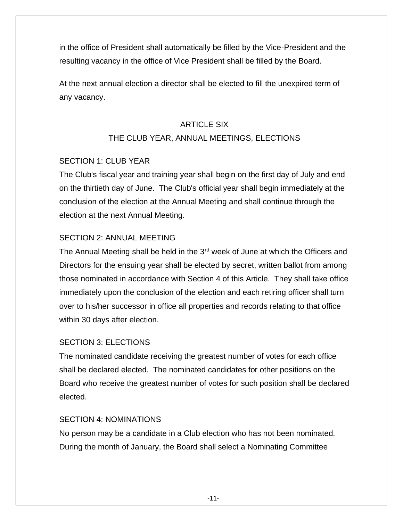in the office of President shall automatically be filled by the Vice-President and the resulting vacancy in the office of Vice President shall be filled by the Board.

At the next annual election a director shall be elected to fill the unexpired term of any vacancy.

# ARTICLE SIX THE CLUB YEAR, ANNUAL MEETINGS, ELECTIONS

# SECTION 1: CLUB YEAR

The Club's fiscal year and training year shall begin on the first day of July and end on the thirtieth day of June. The Club's official year shall begin immediately at the conclusion of the election at the Annual Meeting and shall continue through the election at the next Annual Meeting.

# SECTION 2: ANNUAL MEETING

The Annual Meeting shall be held in the 3<sup>rd</sup> week of June at which the Officers and Directors for the ensuing year shall be elected by secret, written ballot from among those nominated in accordance with Section 4 of this Article. They shall take office immediately upon the conclusion of the election and each retiring officer shall turn over to his/her successor in office all properties and records relating to that office within 30 days after election.

# SECTION 3: ELECTIONS

The nominated candidate receiving the greatest number of votes for each office shall be declared elected. The nominated candidates for other positions on the Board who receive the greatest number of votes for such position shall be declared elected.

## SECTION 4: NOMINATIONS

No person may be a candidate in a Club election who has not been nominated. During the month of January, the Board shall select a Nominating Committee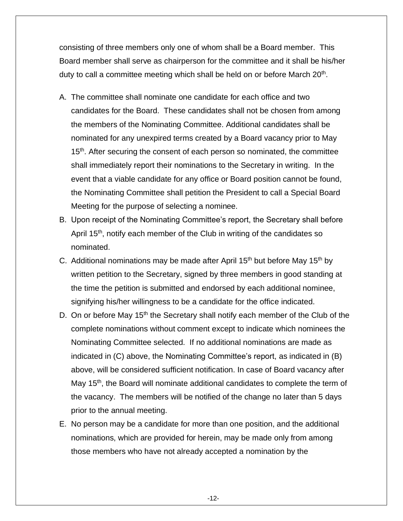consisting of three members only one of whom shall be a Board member. This Board member shall serve as chairperson for the committee and it shall be his/her duty to call a committee meeting which shall be held on or before March 20<sup>th</sup>.

- A. The committee shall nominate one candidate for each office and two candidates for the Board. These candidates shall not be chosen from among the members of the Nominating Committee. Additional candidates shall be nominated for any unexpired terms created by a Board vacancy prior to May 15<sup>th</sup>. After securing the consent of each person so nominated, the committee shall immediately report their nominations to the Secretary in writing. In the event that a viable candidate for any office or Board position cannot be found, the Nominating Committee shall petition the President to call a Special Board Meeting for the purpose of selecting a nominee.
- B. Upon receipt of the Nominating Committee's report, the Secretary shall before April 15<sup>th</sup>, notify each member of the Club in writing of the candidates so nominated.
- C. Additional nominations may be made after April 15<sup>th</sup> but before May 15<sup>th</sup> by written petition to the Secretary, signed by three members in good standing at the time the petition is submitted and endorsed by each additional nominee, signifying his/her willingness to be a candidate for the office indicated.
- D. On or before May  $15<sup>th</sup>$  the Secretary shall notify each member of the Club of the complete nominations without comment except to indicate which nominees the Nominating Committee selected. If no additional nominations are made as indicated in (C) above, the Nominating Committee's report, as indicated in (B) above, will be considered sufficient notification. In case of Board vacancy after May 15<sup>th</sup>, the Board will nominate additional candidates to complete the term of the vacancy. The members will be notified of the change no later than 5 days prior to the annual meeting.
- E. No person may be a candidate for more than one position, and the additional nominations, which are provided for herein, may be made only from among those members who have not already accepted a nomination by the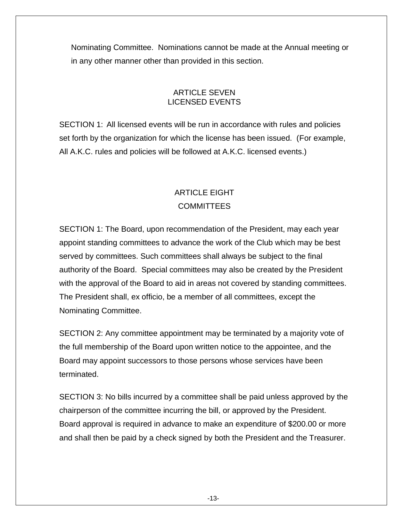Nominating Committee. Nominations cannot be made at the Annual meeting or in any other manner other than provided in this section.

# **ARTICLE SEVEN** LICENSED EVENTS

SECTION 1: All licensed events will be run in accordance with rules and policies set forth by the organization for which the license has been issued. (For example, All A.K.C. rules and policies will be followed at A.K.C. licensed events.)

# ARTICLE EIGHT **COMMITTEES**

SECTION 1: The Board, upon recommendation of the President, may each year appoint standing committees to advance the work of the Club which may be best served by committees. Such committees shall always be subject to the final authority of the Board. Special committees may also be created by the President with the approval of the Board to aid in areas not covered by standing committees. The President shall, ex officio, be a member of all committees, except the Nominating Committee.

SECTION 2: Any committee appointment may be terminated by a majority vote of the full membership of the Board upon written notice to the appointee, and the Board may appoint successors to those persons whose services have been terminated.

SECTION 3: No bills incurred by a committee shall be paid unless approved by the chairperson of the committee incurring the bill, or approved by the President. Board approval is required in advance to make an expenditure of \$200.00 or more and shall then be paid by a check signed by both the President and the Treasurer.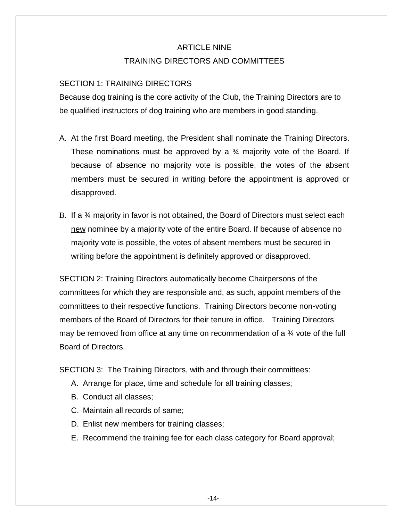# ARTICLE NINE TRAINING DIRECTORS AND COMMITTEES

# SECTION 1: TRAINING DIRECTORS

Because dog training is the core activity of the Club, the Training Directors are to be qualified instructors of dog training who are members in good standing.

- A. At the first Board meeting, the President shall nominate the Training Directors. These nominations must be approved by a  $\frac{3}{4}$  majority vote of the Board. If because of absence no majority vote is possible, the votes of the absent members must be secured in writing before the appointment is approved or disapproved.
- B. If a ¾ majority in favor is not obtained, the Board of Directors must select each new nominee by a majority vote of the entire Board. If because of absence no majority vote is possible, the votes of absent members must be secured in writing before the appointment is definitely approved or disapproved.

SECTION 2: Training Directors automatically become Chairpersons of the committees for which they are responsible and, as such, appoint members of the committees to their respective functions. Training Directors become non-voting members of the Board of Directors for their tenure in office. Training Directors may be removed from office at any time on recommendation of a ¾ vote of the full Board of Directors.

SECTION 3: The Training Directors, with and through their committees:

- A. Arrange for place, time and schedule for all training classes;
- B. Conduct all classes;
- C. Maintain all records of same;
- D. Enlist new members for training classes;
- E. Recommend the training fee for each class category for Board approval;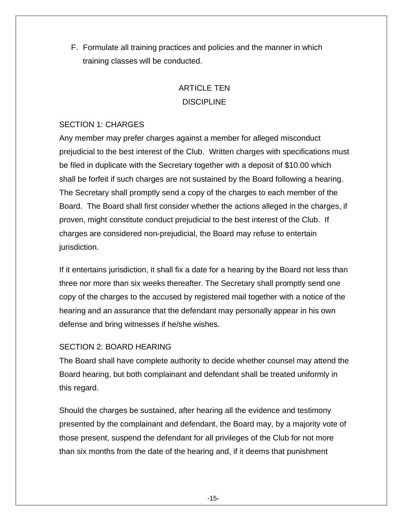F. Formulate all training practices and policies and the manner in which training classes will be conducted.

# **ARTICLE TEN** DISCIPLINE

# SECTION 1: CHARGES

Any member may prefer charges against a member for alleged misconduct prejudicial to the best interest of the Club. Written charges with specifications must be filed in duplicate with the Secretary together with a deposit of \$10.00 which shall be forfeit if such charges are not sustained by the Board following a hearing. The Secretary shall promptly send a copy of the charges to each member of the Board. The Board shall first consider whether the actions alleged in the charges, if proven, might constitute conduct prejudicial to the best interest of the Club. If charges are considered non-prejudicial, the Board may refuse to entertain jurisdiction.

If it entertains jurisdiction, it shall fix a date for a hearing by the Board not less than three nor more than six weeks thereafter. The Secretary shall promptly send one copy of the charges to the accused by registered mail together with a notice of the hearing and an assurance that the defendant may personally appear in his own defense and bring witnesses if he/she wishes.

## SECTION 2: BOARD HEARING

The Board shall have complete authority to decide whether counsel may attend the Board hearing, but both complainant and defendant shall be treated uniformly in this regard.

Should the charges be sustained, after hearing all the evidence and testimony presented by the complainant and defendant, the Board may, by a majority vote of those present, suspend the defendant for all privileges of the Club for not more than six months from the date of the hearing and, if it deems that punishment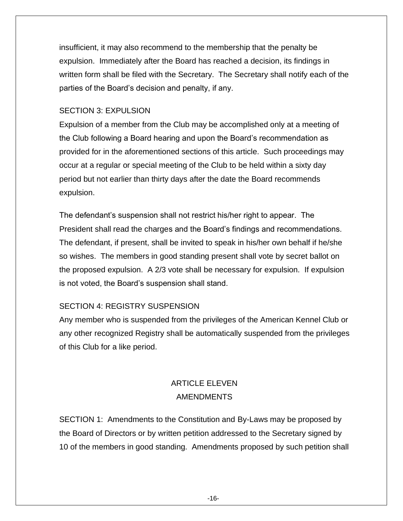insufficient, it may also recommend to the membership that the penalty be expulsion. Immediately after the Board has reached a decision, its findings in written form shall be filed with the Secretary. The Secretary shall notify each of the parties of the Board's decision and penalty, if any.

# SECTION 3: EXPULSION

Expulsion of a member from the Club may be accomplished only at a meeting of the Club following a Board hearing and upon the Board's recommendation as provided for in the aforementioned sections of this article. Such proceedings may occur at a regular or special meeting of the Club to be held within a sixty day period but not earlier than thirty days after the date the Board recommends expulsion.

The defendant's suspension shall not restrict his/her right to appear. The President shall read the charges and the Board's findings and recommendations. The defendant, if present, shall be invited to speak in his/her own behalf if he/she so wishes. The members in good standing present shall vote by secret ballot on the proposed expulsion. A 2/3 vote shall be necessary for expulsion. If expulsion is not voted, the Board's suspension shall stand.

# SECTION 4: REGISTRY SUSPENSION

Any member who is suspended from the privileges of the American Kennel Club or any other recognized Registry shall be automatically suspended from the privileges of this Club for a like period.

# ARTICLE ELEVEN AMENDMENTS

SECTION 1: Amendments to the Constitution and By-Laws may be proposed by the Board of Directors or by written petition addressed to the Secretary signed by 10 of the members in good standing. Amendments proposed by such petition shall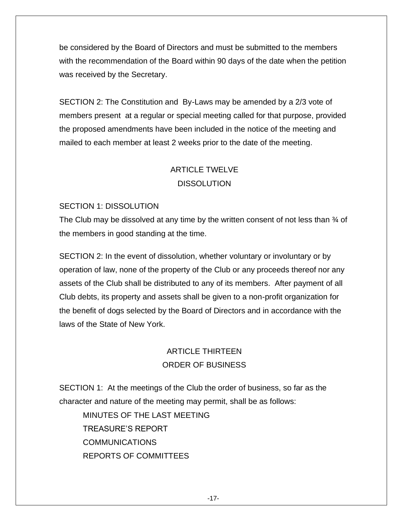be considered by the Board of Directors and must be submitted to the members with the recommendation of the Board within 90 days of the date when the petition was received by the Secretary.

SECTION 2: The Constitution and By-Laws may be amended by a 2/3 vote of members present at a regular or special meeting called for that purpose, provided the proposed amendments have been included in the notice of the meeting and mailed to each member at least 2 weeks prior to the date of the meeting.

# ARTICLE TWELVE DISSOLUTION

# SECTION 1: DISSOLUTION

The Club may be dissolved at any time by the written consent of not less than  $\frac{3}{4}$  of the members in good standing at the time.

SECTION 2: In the event of dissolution, whether voluntary or involuntary or by operation of law, none of the property of the Club or any proceeds thereof nor any assets of the Club shall be distributed to any of its members. After payment of all Club debts, its property and assets shall be given to a non-profit organization for the benefit of dogs selected by the Board of Directors and in accordance with the laws of the State of New York.

# ARTICLE THIRTEEN ORDER OF BUSINESS

SECTION 1: At the meetings of the Club the order of business, so far as the character and nature of the meeting may permit, shall be as follows:

MINUTES OF THE LAST MEETING TREASURE'S REPORT **COMMUNICATIONS** REPORTS OF COMMITTEES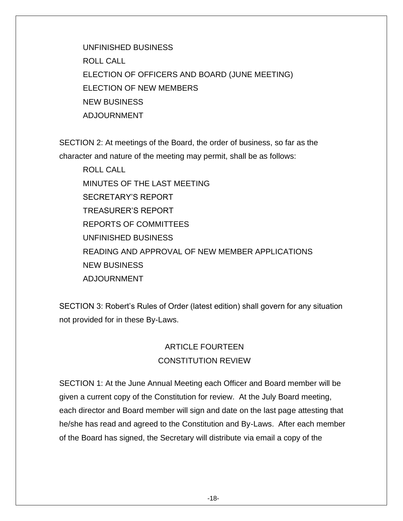UNFINISHED BUSINESS ROLL CALL ELECTION OF OFFICERS AND BOARD (JUNE MEETING) ELECTION OF NEW MEMBERS NEW BUSINESS ADJOURNMENT

SECTION 2: At meetings of the Board, the order of business, so far as the character and nature of the meeting may permit, shall be as follows:

ROLL CALL MINUTES OF THE LAST MEETING SECRETARY'S REPORT TREASURER'S REPORT REPORTS OF COMMITTEES UNFINISHED BUSINESS READING AND APPROVAL OF NEW MEMBER APPLICATIONS NEW BUSINESS ADJOURNMENT

SECTION 3: Robert's Rules of Order (latest edition) shall govern for any situation not provided for in these By-Laws.

# ARTICLE FOURTEEN CONSTITUTION REVIEW

SECTION 1: At the June Annual Meeting each Officer and Board member will be given a current copy of the Constitution for review. At the July Board meeting, each director and Board member will sign and date on the last page attesting that he/she has read and agreed to the Constitution and By-Laws. After each member of the Board has signed, the Secretary will distribute via email a copy of the